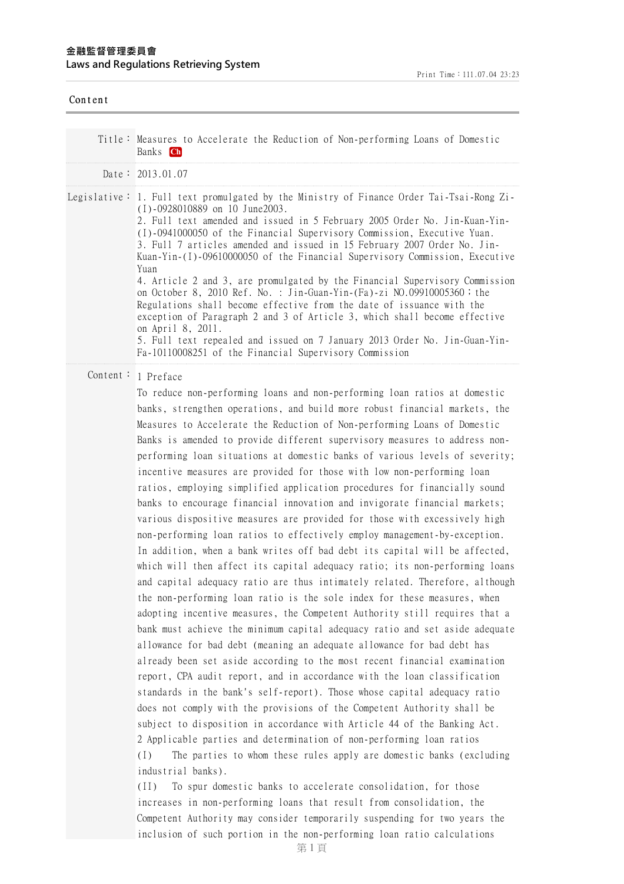## **⾦融監督管理委員會 Laws and Regulations Retrieving System**

| Content |                                                                                                                                                                                                                                                                                                                                                                                                                                                                                                                                                                                                                                                                                                                                                                                                                                                                                                                                                                                                                                                                                                                                                                                                                                                                                                                                                                                                                                                                                                                                                                                                                                                                                                                                                                                                                                                                                                                                                             |
|---------|-------------------------------------------------------------------------------------------------------------------------------------------------------------------------------------------------------------------------------------------------------------------------------------------------------------------------------------------------------------------------------------------------------------------------------------------------------------------------------------------------------------------------------------------------------------------------------------------------------------------------------------------------------------------------------------------------------------------------------------------------------------------------------------------------------------------------------------------------------------------------------------------------------------------------------------------------------------------------------------------------------------------------------------------------------------------------------------------------------------------------------------------------------------------------------------------------------------------------------------------------------------------------------------------------------------------------------------------------------------------------------------------------------------------------------------------------------------------------------------------------------------------------------------------------------------------------------------------------------------------------------------------------------------------------------------------------------------------------------------------------------------------------------------------------------------------------------------------------------------------------------------------------------------------------------------------------------------|
|         | Title: Measures to Accelerate the Reduction of Non-performing Loans of Domestic<br>Banks <b>Ch</b>                                                                                                                                                                                                                                                                                                                                                                                                                                                                                                                                                                                                                                                                                                                                                                                                                                                                                                                                                                                                                                                                                                                                                                                                                                                                                                                                                                                                                                                                                                                                                                                                                                                                                                                                                                                                                                                          |
|         | Date: $2013.01.07$                                                                                                                                                                                                                                                                                                                                                                                                                                                                                                                                                                                                                                                                                                                                                                                                                                                                                                                                                                                                                                                                                                                                                                                                                                                                                                                                                                                                                                                                                                                                                                                                                                                                                                                                                                                                                                                                                                                                          |
|         | Legislative: 1. Full text promulgated by the Ministry of Finance Order Tai-Tsai-Rong Zi-<br>$(I) -0928010889$ on 10 June2003.<br>2. Full text amended and issued in 5 February 2005 Order No. Jin-Kuan-Yin-<br>(I)-0941000050 of the Financial Supervisory Commission, Executive Yuan.<br>3. Full 7 articles amended and issued in 15 February 2007 Order No. Jin-<br>Kuan-Yin-(I)-09610000050 of the Financial Supervisory Commission, Executive<br>Yuan<br>4. Article 2 and 3, are promulgated by the Financial Supervisory Commission<br>on October 8, 2010 Ref. No. : Jin-Guan-Yin-(Fa)-zi NO.09910005360; the<br>Regulations shall become effective from the date of issuance with the<br>exception of Paragraph 2 and 3 of Article 3, which shall become effective<br>on April 8, 2011.<br>5. Full text repealed and issued on 7 January 2013 Order No. Jin-Guan-Yin-<br>Fa-10110008251 of the Financial Supervisory Commission                                                                                                                                                                                                                                                                                                                                                                                                                                                                                                                                                                                                                                                                                                                                                                                                                                                                                                                                                                                                                       |
|         | Content: 1 Preface<br>To reduce non-performing loans and non-performing loan ratios at domestic<br>banks, strengthen operations, and build more robust financial markets, the<br>Measures to Accelerate the Reduction of Non-performing Loans of Domestic<br>Banks is amended to provide different supervisory measures to address non-<br>performing loan situations at domestic banks of various levels of severity;<br>incentive measures are provided for those with low non-performing loan<br>ratios, employing simplified application procedures for financially sound<br>banks to encourage financial innovation and invigorate financial markets;<br>various dispositive measures are provided for those with excessively high<br>non-performing loan ratios to effectively employ management-by-exception.<br>In addition, when a bank writes off bad debt its capital will be affected,<br>which will then affect its capital adequacy ratio; its non-performing loans<br>and capital adequacy ratio are thus intimately related. Therefore, although<br>the non-performing loan ratio is the sole index for these measures, when<br>adopting incentive measures, the Competent Authority still requires that a<br>bank must achieve the minimum capital adequacy ratio and set aside adequate<br>allowance for bad debt (meaning an adequate allowance for bad debt has<br>already been set aside according to the most recent financial examination<br>report, CPA audit report, and in accordance with the loan classification<br>standards in the bank's self-report). Those whose capital adequacy ratio<br>does not comply with the provisions of the Competent Authority shall be<br>subject to disposition in accordance with Article 44 of the Banking Act.<br>2 Applicable parties and determination of non-performing loan ratios<br>The parties to whom these rules apply are domestic banks (excluding<br>(1)<br>industrial banks). |

(II) To spur domestic banks to accelerate consolidation, for those increases in non-performing loans that result from consolidation, the Competent Authority may consider temporarily suspending for two years the inclusion of such portion in the non-performing loan ratio calculations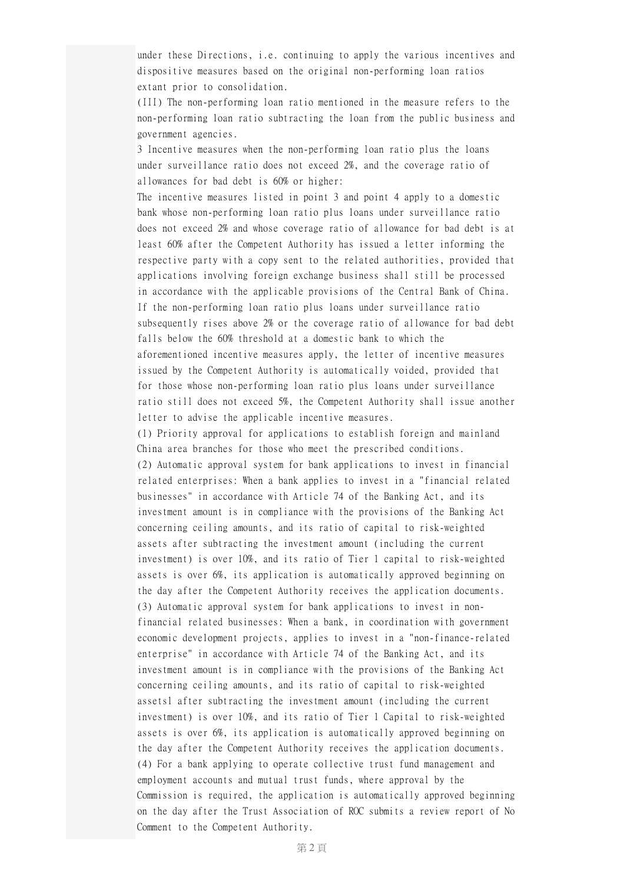under these Directions, i.e. continuing to apply the various incentives and dispositive measures based on the original non-performing loan ratios extant prior to consolidation.

(III) The non-performing loan ratio mentioned in the measure refers to the non-performing loan ratio subtracting the loan from the public business and government agencies.

3 Incentive measures when the non-performing loan ratio plus the loans under surveillance ratio does not exceed 2%, and the coverage ratio of allowances for bad debt is 60% or higher:

The incentive measures listed in point 3 and point 4 apply to a domestic bank whose non-performing loan ratio plus loans under surveillance ratio does not exceed 2% and whose coverage ratio of allowance for bad debt is at least 60% after the Competent Authority has issued a letter informing the respective party with a copy sent to the related authorities, provided that applications involving foreign exchange business shall still be processed in accordance with the applicable provisions of the Central Bank of China. If the non-performing loan ratio plus loans under surveillance ratio subsequently rises above 2% or the coverage ratio of allowance for bad debt falls below the 60% threshold at a domestic bank to which the aforementioned incentive measures apply, the letter of incentive measures issued by the Competent Authority is automatically voided, provided that for those whose non-performing loan ratio plus loans under surveillance ratio still does not exceed 5%, the Competent Authority shall issue another letter to advise the applicable incentive measures.

(1) Priority approval for applications to establish foreign and mainland China area branches for those who meet the prescribed conditions. (2) Automatic approval system for bank applications to invest in financial related enterprises: When a bank applies to invest in a "financial related businesses" in accordance with Article 74 of the Banking Act, and its investment amount is in compliance with the provisions of the Banking Act concerning ceiling amounts, and its ratio of capital to risk-weighted assets after subtracting the investment amount (including the current investment) is over 10%, and its ratio of Tier 1 capital to risk-weighted assets is over 6%, its application is automatically approved beginning on the day after the Competent Authority receives the application documents. (3) Automatic approval system for bank applications to invest in nonfinancial related businesses: When a bank, in coordination with government economic development projects, applies to invest in a "non-finance-related enterprise" in accordance with Article 74 of the Banking Act, and its investment amount is in compliance with the provisions of the Banking Act concerning ceiling amounts, and its ratio of capital to risk-weighted assetsl after subtracting the investment amount (including the current investment) is over 10%, and its ratio of Tier 1 Capital to risk-weighted assets is over 6%, its application is automatically approved beginning on the day after the Competent Authority receives the application documents. (4) For a bank applying to operate collective trust fund management and employment accounts and mutual trust funds, where approval by the Commission is required, the application is automatically approved beginning on the day after the Trust Association of ROC submits a review report of No Comment to the Competent Authority.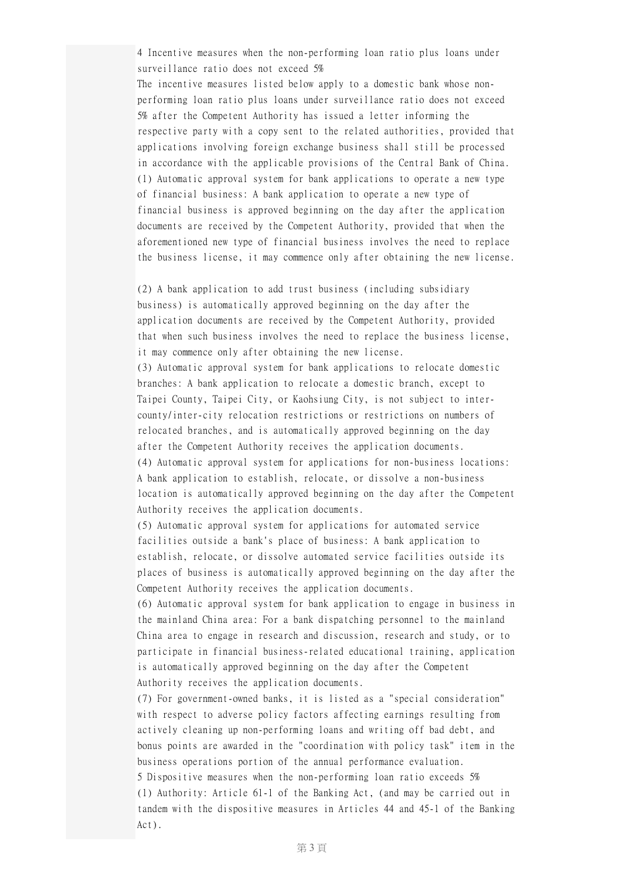4 Incentive measures when the non-performing loan ratio plus loans under surveillance ratio does not exceed 5%

The incentive measures listed below apply to a domestic bank whose nonperforming loan ratio plus loans under surveillance ratio does not exceed 5% after the Competent Authority has issued a letter informing the respective party with a copy sent to the related authorities, provided that applications involving foreign exchange business shall still be processed in accordance with the applicable provisions of the Central Bank of China. (1) Automatic approval system for bank applications to operate a new type of financial business: A bank application to operate a new type of financial business is approved beginning on the day after the application documents are received by the Competent Authority, provided that when the aforementioned new type of financial business involves the need to replace the business license, it may commence only after obtaining the new license.

(2) A bank application to add trust business (including subsidiary business) is automatically approved beginning on the day after the application documents are received by the Competent Authority, provided that when such business involves the need to replace the business license, it may commence only after obtaining the new license.

(3) Automatic approval system for bank applications to relocate domestic branches: A bank application to relocate a domestic branch, except to Taipei County, Taipei City, or Kaohsiung City, is not subject to intercounty/inter-city relocation restrictions or restrictions on numbers of relocated branches, and is automatically approved beginning on the day after the Competent Authority receives the application documents. (4) Automatic approval system for applications for non-business locations: A bank application to establish, relocate, or dissolve a non-business location is automatically approved beginning on the day after the Competent Authority receives the application documents.

(5) Automatic approval system for applications for automated service facilities outside a bank's place of business: A bank application to establish, relocate, or dissolve automated service facilities outside its places of business is automatically approved beginning on the day after the Competent Authority receives the application documents.

(6) Automatic approval system for bank application to engage in business in the mainland China area: For a bank dispatching personnel to the mainland China area to engage in research and discussion, research and study, or to participate in financial business-related educational training, application is automatically approved beginning on the day after the Competent Authority receives the application documents.

(7) For government-owned banks, it is listed as a "special consideration" with respect to adverse policy factors affecting earnings resulting from actively cleaning up non-performing loans and writing off bad debt, and bonus points are awarded in the "coordination with policy task" item in the business operations portion of the annual performance evaluation. 5 Dispositive measures when the non-performing loan ratio exceeds 5% (1) Authority: Article 61-1 of the Banking Act, (and may be carried out in tandem with the dispositive measures in Articles 44 and 45-1 of the Banking Act).